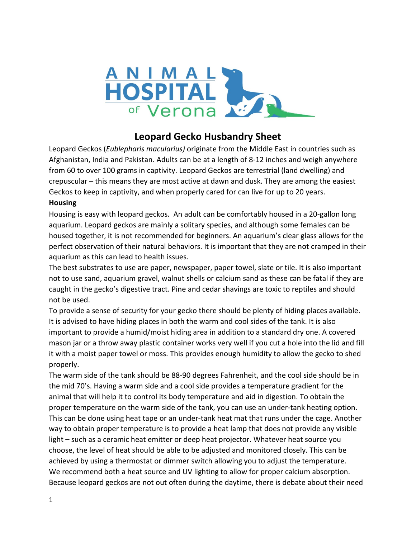

# **Leopard Gecko Husbandry Sheet**

Leopard Geckos (*Eublepharis macularius)* originate from the Middle East in countries such as Afghanistan, India and Pakistan. Adults can be at a length of 8-12 inches and weigh anywhere from 60 to over 100 grams in captivity. Leopard Geckos are terrestrial (land dwelling) and crepuscular – this means they are most active at dawn and dusk. They are among the easiest Geckos to keep in captivity, and when properly cared for can live for up to 20 years. **Housing**

Housing is easy with leopard geckos. An adult can be comfortably housed in a 20-gallon long aquarium. Leopard geckos are mainly a solitary species, and although some females can be housed together, it is not recommended for beginners. An aquarium's clear glass allows for the perfect observation of their natural behaviors. It is important that they are not cramped in their aquarium as this can lead to health issues.

The best substrates to use are paper, newspaper, paper towel, slate or tile. It is also important not to use sand, aquarium gravel, walnut shells or calcium sand as these can be fatal if they are caught in the gecko's digestive tract. Pine and cedar shavings are toxic to reptiles and should not be used.

To provide a sense of security for your gecko there should be plenty of hiding places available. It is advised to have hiding places in both the warm and cool sides of the tank. It is also important to provide a humid/moist hiding area in addition to a standard dry one. A covered mason jar or a throw away plastic container works very well if you cut a hole into the lid and fill it with a moist paper towel or moss. This provides enough humidity to allow the gecko to shed properly.

The warm side of the tank should be 88-90 degrees Fahrenheit, and the cool side should be in the mid 70's. Having a warm side and a cool side provides a temperature gradient for the animal that will help it to control its body temperature and aid in digestion. To obtain the proper temperature on the warm side of the tank, you can use an under-tank heating option. This can be done using heat tape or an under-tank heat mat that runs under the cage. Another way to obtain proper temperature is to provide a heat lamp that does not provide any visible light – such as a ceramic heat emitter or deep heat projector. Whatever heat source you choose, the level of heat should be able to be adjusted and monitored closely. This can be achieved by using a thermostat or dimmer switch allowing you to adjust the temperature. We recommend both a heat source and UV lighting to allow for proper calcium absorption. Because leopard geckos are not out often during the daytime, there is debate about their need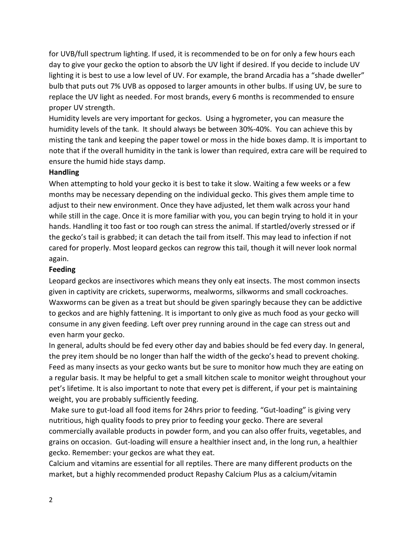for UVB/full spectrum lighting. If used, it is recommended to be on for only a few hours each day to give your gecko the option to absorb the UV light if desired. If you decide to include UV lighting it is best to use a low level of UV. For example, the brand Arcadia has a "shade dweller" bulb that puts out 7% UVB as opposed to larger amounts in other bulbs. If using UV, be sure to replace the UV light as needed. For most brands, every 6 months is recommended to ensure proper UV strength.

Humidity levels are very important for geckos. Using a hygrometer, you can measure the humidity levels of the tank. It should always be between 30%-40%. You can achieve this by misting the tank and keeping the paper towel or moss in the hide boxes damp. It is important to note that if the overall humidity in the tank is lower than required, extra care will be required to ensure the humid hide stays damp.

#### **Handling**

When attempting to hold your gecko it is best to take it slow. Waiting a few weeks or a few months may be necessary depending on the individual gecko. This gives them ample time to adjust to their new environment. Once they have adjusted, let them walk across your hand while still in the cage. Once it is more familiar with you, you can begin trying to hold it in your hands. Handling it too fast or too rough can stress the animal. If startled/overly stressed or if the gecko's tail is grabbed; it can detach the tail from itself. This may lead to infection if not cared for properly. Most leopard geckos can regrow this tail, though it will never look normal again.

### **Feeding**

Leopard geckos are insectivores which means they only eat insects. The most common insects given in captivity are crickets, superworms, mealworms, silkworms and small cockroaches. Waxworms can be given as a treat but should be given sparingly because they can be addictive to geckos and are highly fattening. It is important to only give as much food as your gecko will consume in any given feeding. Left over prey running around in the cage can stress out and even harm your gecko.

In general, adults should be fed every other day and babies should be fed every day. In general, the prey item should be no longer than half the width of the gecko's head to prevent choking. Feed as many insects as your gecko wants but be sure to monitor how much they are eating on a regular basis. It may be helpful to get a small kitchen scale to monitor weight throughout your pet's lifetime. It is also important to note that every pet is different, if your pet is maintaining weight, you are probably sufficiently feeding.

Make sure to gut-load all food items for 24hrs prior to feeding. "Gut-loading" is giving very nutritious, high quality foods to prey prior to feeding your gecko. There are several commercially available products in powder form, and you can also offer fruits, vegetables, and grains on occasion. Gut-loading will ensure a healthier insect and, in the long run, a healthier gecko. Remember: your geckos are what they eat.

Calcium and vitamins are essential for all reptiles. There are many different products on the market, but a highly recommended product Repashy Calcium Plus as a calcium/vitamin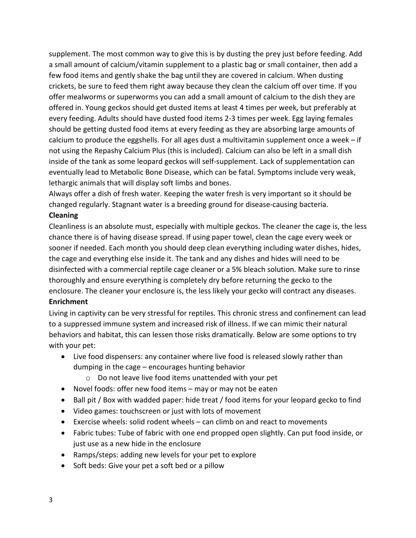supplement. The most common way to give this is by dusting the prey just before feeding. Add a small amount of calcium/vitamin supplement to a plastic bag or small container, then add a few food items and gently shake the bag until they are covered in calcium. When dusting crickets, be sure to feed them right away because they clean the calcium off over time. If you offer mealworms or superworms you can add a small amount of calcium to the dish they are offered in. Young geckos should get dusted items at least 4 times per week, but preferably at every feeding. Adults should have dusted food items 2-3 times per week. Egg laying females should be getting dusted food items at every feeding as they are absorbing large amounts of calcium to produce the eggshells. For all ages dust a multivitamin supplement once a week – if not using the Repashy Calcium Plus (this is included). Calcium can also be left in a small dish inside of the tank as some leopard geckos will self-supplement. Lack of supplementation can eventually lead to Metabolic Bone Disease, which can be fatal. Symptoms include very weak, lethargic animals that will display soft limbs and bones.

Always offer a dish of fresh water. Keeping the water fresh is very important so it should be changed regularly. Stagnant water is a breeding ground for disease-causing bacteria.

### **Cleaning**

Cleanliness is an absolute must, especially with multiple geckos. The cleaner the cage is, the less chance there is of having disease spread. If using paper towel, clean the cage every week or sooner if needed. Each month you should deep clean everything including water dishes, hides, the cage and everything else inside it. The tank and any dishes and hides will need to be disinfected with a commercial reptile cage cleaner or a 5% bleach solution. Make sure to rinse thoroughly and ensure everything is completely dry before returning the gecko to the enclosure. The cleaner your enclosure is, the less likely your gecko will contract any diseases. **Enrichment**

## Living in captivity can be very stressful for reptiles. This chronic stress and confinement can lead to a suppressed immune system and increased risk of illness. If we can mimic their natural behaviors and habitat, this can lessen those risks dramatically. Below are some options to try with your pet:

- Live food dispensers: any container where live food is released slowly rather than dumping in the cage – encourages hunting behavior
	- o Do not leave live food items unattended with your pet
- Novel foods: offer new food items may or may not be eaten
- Ball pit / Box with wadded paper: hide treat / food items for your leopard gecko to find
- Video games: touchscreen or just with lots of movement
- Exercise wheels: solid rodent wheels can climb on and react to movements
- Fabric tubes: Tube of fabric with one end propped open slightly. Can put food inside, or just use as a new hide in the enclosure
- Ramps/steps: adding new levels for your pet to explore
- Soft beds: Give your pet a soft bed or a pillow